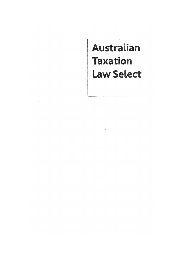# Australian **Taxation Law Select**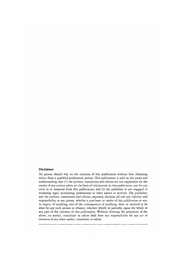### **Oisclaimer**

No person should rely on the contents of this publication without first obtaining advice from a qualified professional person. This publication is sold on the terms and understanding that (1) the authors, consultants and editors are not responsible for the results of any actions taken on the basis of information in this publication, nor for any error **in** or omission from this publication; and (2) the publisher is not engaged **in**  rendering legal, accounting, professional or other advice or services. The publisher, and the authors, consultants and editors, expressly disclaim all and any liability and responsibility to any person, whether a purchaser or reader of this publication or not, in respect of anything, and of the consequences of anything, done or omitted to be done by any such person in reliance, whether wholly or partially, upon the whole or any part of the contents of this publication. Without limiting the generality of the above, no author, consultant or editor shaU have any responsibility for any act or omission of any other author, consultant or editor.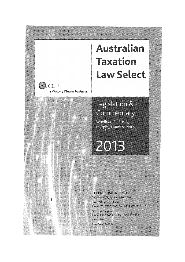# Australian **Taxation Law Select**



CCH

a Wolters Kluwer business

Woellner, Barkoczy, Murphy, Evans & Pinto

2013

### **CCH AUSTRALIA LIMITED**

GPO Box 4072, Sydney, NSW 2001 Head Office North Ryde Phone: (02) 9857 1300 Fax: (02) 9857 1600 **Customer Support** Phone: 1 300 300 224 Fax: 1 300 306 224 www.cch.com.au Book Code: 39559A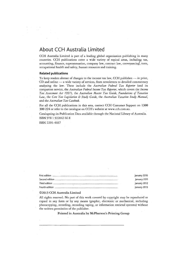## **About CCH Australia Limited**

CCH Australia Limited is part of a leading global organisation publishing in many countries. CCH publications cover a wide variety of topical areas, including tax, accounting, finance, superannuation, company law, contract law, conveyancing, torts, occupational health and safety, human resources and training.

### **Related publications**

To keep readers abreast of changes to the income tax law, CCH publishes - in print, CD and online - a wide variety of services, from newsletters *ta* detailed commentary analysing the law. These include the *Australian Federal Tax Reporter* (and its companion service, the *Australian Federal Income T ax Reporter,* which covers the *Income Tax Assessment Act* 1997), the *Australian Master Tax Guide, Foundations of Taxation Law,* the *Core Tax Legislation* & *Study Guide,* the *Australian Taxation Study Manual,*  and the *Australian Tax Casebook.* 

For all the CCH publications in this area, contact CCH Customer Support on 1300 300224 or refer *ta* the catalogue on CCH's website at www.cch.com.au.

Cataloguing-in-Publication Data available through the National Library of Australia. ISBN 978 1 922042 668

ISSN 2201-4667

| January 2010 |
|--------------|
| January 2011 |
| January 2012 |
| January 2013 |

### ©2013 CCH Australia Limited

AU rights reserved. No part of this work covered by copyright may be reproduced or copied in any form or by any means (graphie, electronic or mechanical, including photocopying, recording, recording taping, or information retrieval systems) without the written permission of the publisher.

Printed in Australia by McPherson's Printing Group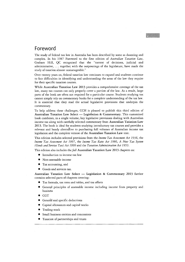### **Foreword**

The study of federal tax law in Australia has been described by sorne as daunting and complex. In his 1987 Foreword to the first edition of *Australian Taxation Law,*  Graham Hill, QC recognised that the "torrent of decisions, judicial and administrative,  $\dots$  together with the outpourings of the legislature, have made the study of taxation almost unmanageable."

Over twenty years on, federal taxation law continues to expand and students continue to face difficulties in identifying and understanding the areas of the law they reguire for their specifie taxation courses.

While Australian Taxation Law 2013 provides a comprehensive coverage of the tax law, many tax courses can only properly cover a portion of the law. As a result, large parts of the book are often not reguired for a particular course. Students studying tax cannot simply rely on commentary books for a complete understanding of the tax law. It is essential that they read the actual legislative provisions that underpin the commentary.

To help address these challenges, CCH is pleased to publish this third edition of Australian Taxation Law Select - Legislation & Commentary. This customised book combines, in a single volume, key legislative provisions dealing with Australian income tax along with carefully selected commentary from Australian Taxation Law 2013. The book is ideal for students studying introductory tax courses and provides a relevant and handy alternative to purchasing full volumes of Australian income tax legislation and the complete version of the Australian Taxation Law text.

This edition includes selected provisions from the *Income Tax Assessment Act* 1936, the *Income Tax Assessment Act* 1997, the *Income Tax Rates Act* 1986, *A New Tax System (Goods and Services Tax) Act* 1999 and the *Taxation Administration Act 1953.* 

This edition also includes the *full Australian Taxation Law 2013* chapters on:

- Introduction to income tax law
- Non-assessable income
- Tax accounting, and
- Goods and services tax.

Australian Taxation Law Select  $-$  Legislation & Commentary 2013 further contains selected parts of chapters covering:

- Tax formula, tax rates and tables, and tax offsets
- General principles of assessable income including income from property and business
- CGT
- General and specific deductions
- Capital allowances and capital works
- Trading stock
- Small business entities and concessions
- Taxation of partnerships and trusts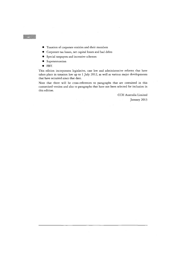- Taxation of corporate entities and their members
- $\bullet$  Corporate tax losses, net capital losses and bad debts
- Special taxpayers and incentive schemes
- **•** Superannuation
- FBT.

This edition incorporates legislative, case law and administrative reforms that have taken place in taxation law up to 1 July 2012, as well as various major developments that have occurred since that date.

Note that there will be cross-references to paragraphs that are contained in this customised version and also to paragraphs that have not been selected for inclusion in this edition.

> CCH Australia Limited January 2013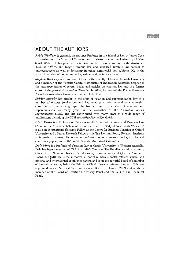## **ABOUT THE AUTHORS**

*Robin Woellner* is currently an Adjunct Professor in the School of Law at James Cook University and the School of Taxation and Business Law at the University of New South Wales. He has practised in taxation in the private sector and in the Australian Taxation Office, and taught revenue law and advanced revenue law courses *ta*  undergraduates as weIl as lecturing in other commercial law subjects. He is the author/co-author of numerous books, articles and conference papers.

e e de la construcción de la construcción de la construcción de la construcción de la construcción de la construcción de la construcción de la construcción de la construcción de la construcción de la construcción de la con

Stephen Barkoczy is a Professor of Law in the Faculty of Law at Monash University and a member of the Venture Capital Committee of Innovation Ausrralia. Stephen is the author/co-author of several books and articles on taxation law and is a former editor of the *journal of Australian Taxation.* In 2008, he received the Prime Minister's Award for Australian University Teacher of the Year.

*Shirley Murphy* has taught in the areas of taxation and superannuation law at a number of tertiary institutions and has acted as a taxation and superànnuation consultant to industry groups. She has written in the areas of taxation and superannuation for many years, is the co-author of the *Australian Master*  Superannuation Guide, and has contributed over many years to a wide range of publications including the CCH Australian Master Tax Guide.

*Chris Evans* is a Professor of Taxation in the School of Taxation and Business Law (Atax) in the Australian School of Business at the University of New South Wales. He is also an International Research Fellow at the Centre for Business Taxation at Oxford University and a Senior Research Fellow at the Tax Law and Policy Research Institute at Monash University. He is the author/co-author of numerous books, articles and conference papers, and is the co-editor of the *Australian Tax Review.* 

*Dale Pinto* is a Professor of Taxation Law at Curtin University in Western Australia. Dale has been a member of CPA Australia's Centre of Tax Excellence and is currently Chair of the Taxation Institute's Education, Examinations and Quality Assurance Board (EEQAB). He is the author/co-author of numerous books, refereed articles and national and international conference papers, and is on the editorial board of a number of journals as weIl as being the Editor-in-Chief of several refereed journals. Dale was appointed to the National Tax Practitioners Board in October 2009 and is also a member of the Board of Taxation's Advisory Panel and the ATO's Tax Technical Panel.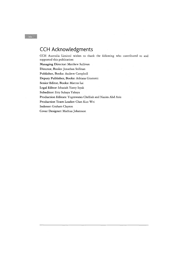# **CCH Acknowledgments**

CCH Australia Limited wishes to thank the following who contributed to and supported this publication: Managing Director: Matthew Sullivan Director, Books: Jonathan Seifman Publisher, Books: Andrew Campbell Deputy Publisher, Books: Adriana Giometti Senior Editor, Books: Marcus Lai Legal Editor: Ishaziah Yanty Isyak Subeditor: Etty Suhaya Yahaya Production Editors: Yogeswaran Chelliah and Nazira Abd Aziz Production Team Leader: Chan Kuo Wei Indexer: Graham Clayton Cover Designer: Mathias Johansson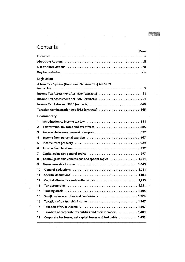# **Contents**

| Page                                                                                                           |
|----------------------------------------------------------------------------------------------------------------|
|                                                                                                                |
| About the Authors (all contains and all contained a statement of the Authors (all contains a statement of the  |
|                                                                                                                |
| Key tax websites (all contained all contained and since the single single single single single single single s |
| Legislation                                                                                                    |
| A New Tax System (Goods and Services Tax) Act 1999                                                             |
|                                                                                                                |
| Income Tax Assessment Act 1997 (extracts)  201                                                                 |
|                                                                                                                |
| Taxation Administration Act 1953 (extracts)  665                                                               |
| Commentary                                                                                                     |
| 1                                                                                                              |
| Tax formula, tax rates and tax offsets  885<br>2                                                               |
| Assessable income: general principles  897<br>3                                                                |
| 4                                                                                                              |
| 5                                                                                                              |
| 6                                                                                                              |
| 7                                                                                                              |
| Capital gains tax: concessions and special topics  1,031<br>8                                                  |
| 9                                                                                                              |
| 10                                                                                                             |
| 11                                                                                                             |
| Capital allowances and capital works  1,215<br>12                                                              |
| 13                                                                                                             |
| 14                                                                                                             |
| 15                                                                                                             |
| 16                                                                                                             |
| 17                                                                                                             |
| Taxation of corporate tax entities and their members  1,409<br>18                                              |
| 19<br>Corporate tax losses, net capital losses and bad debts  1,453                                            |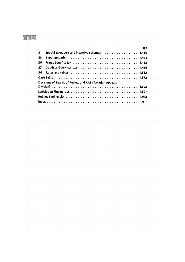| 21 | Page                                                           |
|----|----------------------------------------------------------------|
| 23 |                                                                |
|    |                                                                |
| 26 |                                                                |
| 27 |                                                                |
| 34 |                                                                |
|    |                                                                |
|    | <b>Decisions of Boards of Review and AAT (Taxation Appeals</b> |
|    |                                                                |
|    |                                                                |
|    |                                                                |
|    |                                                                |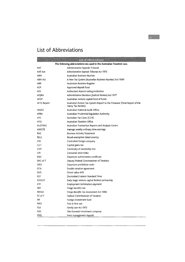# **List of Abbreviations**

| <b>IS OF SHORE OIL</b> |                                                                                                 |  |
|------------------------|-------------------------------------------------------------------------------------------------|--|
|                        | The following abbreviations are used in the Australian Taxation Law.                            |  |
| AAT                    | Administrative Appeals Tribunal                                                                 |  |
| <b>AAT Act</b>         | Administrative Appeals Tribunal Act 1975                                                        |  |
| ABN                    | Australian Business Number                                                                      |  |
| ABN Act                | A New Tax System (Australian Business Number) Act 1999                                          |  |
| <b>ABR</b>             | Australian Business Register                                                                    |  |
| ADF                    | Approved deposit fund                                                                           |  |
| ADI                    | Authorised deposit-taking institution                                                           |  |
| <b>ADJRA</b>           | Administrative Decisions (Judicial Review) Act 1977                                             |  |
| <b>AFOF</b>            | Australian venture capital fund of funds                                                        |  |
| <b>AFTS Report</b>     | Australia's Future Tax System Report to the Treasurer (Final Report of the<br>Henry Tax Review) |  |
| ANAO                   | Australian National Audit Office                                                                |  |
| <b>APRA</b>            | Australian Prudential Regulation Authority                                                      |  |
| <b>ATC</b>             | Australian Tax Cases (CCH)                                                                      |  |
| ATO                    | <b>Australian Taxation Office</b>                                                               |  |
| <b>AUSTRAC</b>         | Australian Transaction Reports and Analysis Centre                                              |  |
| <b>AWOTE</b>           | Average weekly ordinary time earnings                                                           |  |
| <b>BAS</b>             | <b>Business Activity Statement</b>                                                              |  |
| <b>BELC</b>            | Broad-exemption listed country                                                                  |  |
| <b>CFC</b>             | Controlled foreign company                                                                      |  |
| CGT                    | Capital gains tax                                                                               |  |
| COT                    | Continuity of ownership test                                                                    |  |
| <b>CPI</b>             | Consumer price index                                                                            |  |
| <b>DAC</b>             | Departure authorization certificate                                                             |  |
| DFC of T               | Deputy Federal Commissioner of Taxation                                                         |  |
| <b>DPO</b>             | Departure prohibition order                                                                     |  |
| <b>DTA</b>             | Double taxation agreement                                                                       |  |
| <b>DVS</b>             | Direct value shift                                                                              |  |
| EST                    | (Australian) Eastern Standard Time                                                              |  |
| <b>ESVCLP</b>          | Early stage venture capital limited partnership                                                 |  |
| <b>ETP</b>             | Employment termination payment                                                                  |  |
| <b>FBT</b>             | Fringe benefits tax                                                                             |  |
| <b>FBTAA</b>           | Fringe Benefits Tax Assessment Act 1986                                                         |  |
| FC of T                | Federal Commissioner of Taxation                                                                |  |
| FIF                    | Foreign investment fund                                                                         |  |
| <b>FIFO</b>            | First in first out                                                                              |  |
| <b>FLA</b>             | Family Law Act 1975                                                                             |  |
| <b>FLIC</b>            | Film licensed investment company                                                                |  |
| FMD                    | Farm management deposit                                                                         |  |

<u>maan</u>

 $\overline{\phantom{a}}$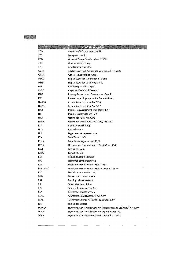|               | <u>ka of Abbaya to B</u>                                              |
|---------------|-----------------------------------------------------------------------|
| FOIA          | Freedom of Information Act 1982                                       |
| FTC           | Foreign tax credit                                                    |
| FTRA          | <b>Financial Transaction Reports Act 1988</b>                         |
| GIC           | General interest charge                                               |
| GST           | Goods and services tax                                                |
| <b>GSTA</b>   | A New Tax System (Goods and Services Tax) Act 1999                    |
| <b>GVSR</b>   | General value shifting regime                                         |
| HECS          | Higher Education Contribution Scheme                                  |
| HELP          | Higher Education Loan Programme                                       |
| IED           | Income equalization deposit                                           |
| IGOT          | Inspector-General of Taxation                                         |
| <b>IRDB</b>   | Industry Research and Development Board                               |
| ISC           | Insurance and Superannuation Commissioner                             |
| ITAA36        | Income Tax Assessment Act 1936                                        |
| ITAA97        | Income Tax Assessment Act 1997                                        |
| <b>ITAR</b>   | Income Tax Assessment Regulations 1997                                |
| <b>ITR</b>    | Income Tax Regulations 1936                                           |
| <b>ITRA</b>   | Income Tax Rates Act 1986                                             |
| <b>ITTPA</b>  | Income Tax (Transitional Provisions) Act 1997                         |
| <b>IVS</b>    | Indirect value shifting                                               |
| LILO          | Last in last out                                                      |
| LPR           | Legal personal representative                                         |
| LTA           | Land Tax Act 1956                                                     |
| LTMA          | Land Tax Management Act 1956                                          |
| <b>OSSA</b>   | Occupational Superannuation Standards Act 1987                        |
| PAYE          | Pay-as-you-earn                                                       |
| PAYG          | Pay As You Go                                                         |
| PDF           | Pooled development fund                                               |
| PPS           | Prescribed payments system                                            |
| <b>PRRT</b>   | Petroleum Resource Rent Tax Act 1987                                  |
| PRRTAA87      | Petroleum Resource Rent Tax Assessment Act 1987                       |
| PST           | Pooled superannuation trust                                           |
| R&D           | Research and development                                              |
| RBA           | Running balance account                                               |
| RBL           | Reasonable benefit limit                                              |
| <b>RPS</b>    | Reportable payments system                                            |
| RSA           | Retirement savings account                                            |
| RSAA          | Retirement Savings Accounts Act 1997                                  |
| RSAR          | Retirement Savings Accounts Regulations 1997                          |
| SBT           | Same business test                                                    |
| <b>SCTACA</b> | Superannuation Contributions Tax (Assessment and Collection) Act 1997 |
| <b>SCTIA</b>  | Superannuation Contributions Tax Imposition Act 1997                  |
| SGAA          | Superannuation Guarantee (Administration) Act 1992                    |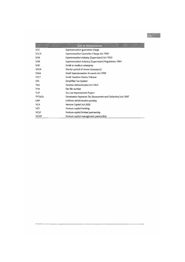|               | IN KOLONIAN KUT                                               |
|---------------|---------------------------------------------------------------|
| SGC           | Superannuation guarantee charge                               |
| <b>SGCA</b>   | Superannuation Guarantee Charge Act 1992                      |
| <b>SISA</b>   | Superannuation Industry (Supervision) Act 1993                |
| <b>SISR</b>   | Superannuation Industry (Supervision) Regulations 1994        |
| <b>SME</b>    | Small or medium enterprise                                    |
| <b>SPOR</b>   | Shorter period of review (taxpayers)                          |
| <b>SSAA</b>   | <b>Small Superannuation Accounts Act 1995</b>                 |
| <b>STCT</b>   | <b>Small Taxation Claims Tribunal</b>                         |
| <b>STS</b>    | Simplified Tax System                                         |
| <b>TAA</b>    | <b>Taxation Administration Act 1953</b>                       |
| TFN           | Tax file number                                               |
| <b>TLIP</b>   | Tax Law Improvement Project                                   |
| <b>TPTACA</b> | Termination Payments Tax (Assessment and Collection) Act 1997 |
| <b>UAP</b>    | Uniform administrative penalty                                |
| <b>VCA</b>    | Venture Capital Act 2002                                      |
| <b>VCF</b>    | Venture capital franking                                      |
| <b>VCLP</b>   | Venture capital limited partnership                           |
| <b>VCMP</b>   | Venture capital management partnership                        |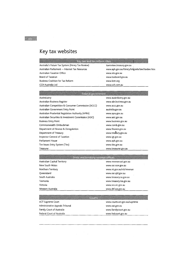# **Key tax websites**

### Key lax and tax reform sites

Australia's Future Tax System (Henry Tax Review) Australian Parliament - Internet Tax Resources Australian Taxation Office Board of Taxation Business Coalition for Tax Reform CCH Australia Ltd

taxreview.treasury.gov.au www.aph.gov.au/library/intguide/law/taxlaw.htm www.ato.gov.au www.taxboard.gov.au www.bctr.org www.cch.com.au

### Return government

Auslndustry Australian Business Register Australian Competition & Consumer Commission (ACCC) Australian Government Entry Point Australian Prudential Regulation Authority (APRA) Australian Securities & Investment Commission (ASIC) Business Entry Point Commonwealth Ombudsman Department of Finance & Deregulation Department of Treasury Inspector-General of Taxation Parliament House Tax Issues Entry System (Ties) Treasurer www.ausindustry.gov.au www.abr.business.gov.au www.accc.gov.au australia.gov.au www.apra.gov.au www.asic.gov.au www.business.gov.au www.comb.gov.au www.finance.gov.au www.treasury.gov.au www.igt.gov.au www.aph.gov.au www.ties.gov.au www.treasurer.gov.au

### State and territory revenue office

| Australian Capital Territory | www.revenue.act.gov.au    |
|------------------------------|---------------------------|
| New South Wales              | www.osr.nsw.gov.au        |
| Northern Territory           | www.nt.gov.au/ntt/revenue |
| Oueensland                   | www.osr.gld.gov.au        |
| South Australia              | www.treasury.sa.gov.au    |
| Tasmania                     | www.treasury.tas.gov.au   |
| Victoria                     | www.sro.vic.gov.au        |
| Western Australia            | www.dtf.wa.gov.au         |

| ACT Supreme Court               | www.courts.act.gov.au/supreme |
|---------------------------------|-------------------------------|
| Administrative Appeals Tribunal | www.aat.gov.au                |
| Family Court of Australia       | www.familycourt.gov.au        |
| Federal Court of Australia      | www.fedcourt.gov.au           |
|                                 |                               |